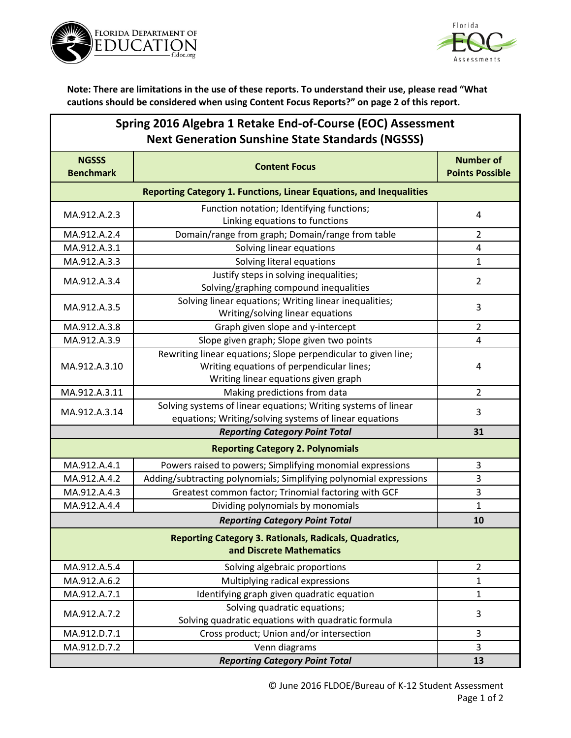



**Note: There are limitations in the use of these reports. To understand their use, please read "What cautions should be considered when using Content Focus Reports?" on page 2 of this report.**

| Spring 2016 Algebra 1 Retake End-of-Course (EOC) Assessment |
|-------------------------------------------------------------|
| <b>Next Generation Sunshine State Standards (NGSSS)</b>     |

| <b>NGSSS</b><br><b>Benchmark</b>                                           | <b>Content Focus</b>                                               | <b>Number of</b><br><b>Points Possible</b> |  |
|----------------------------------------------------------------------------|--------------------------------------------------------------------|--------------------------------------------|--|
| <b>Reporting Category 1. Functions, Linear Equations, and Inequalities</b> |                                                                    |                                            |  |
| MA.912.A.2.3                                                               | Function notation; Identifying functions;                          | 4                                          |  |
|                                                                            | Linking equations to functions                                     |                                            |  |
| MA.912.A.2.4                                                               | Domain/range from graph; Domain/range from table                   | $\overline{2}$                             |  |
| MA.912.A.3.1                                                               | Solving linear equations                                           | 4                                          |  |
| MA.912.A.3.3                                                               | Solving literal equations                                          | $\mathbf{1}$                               |  |
| MA.912.A.3.4                                                               | Justify steps in solving inequalities;                             | $\overline{2}$                             |  |
|                                                                            | Solving/graphing compound inequalities                             |                                            |  |
| MA.912.A.3.5                                                               | Solving linear equations; Writing linear inequalities;             | 3                                          |  |
|                                                                            | Writing/solving linear equations                                   |                                            |  |
| MA.912.A.3.8                                                               | Graph given slope and y-intercept                                  | $\overline{2}$                             |  |
| MA.912.A.3.9                                                               | Slope given graph; Slope given two points                          | $\overline{4}$                             |  |
|                                                                            | Rewriting linear equations; Slope perpendicular to given line;     | 4                                          |  |
| MA.912.A.3.10                                                              | Writing equations of perpendicular lines;                          |                                            |  |
|                                                                            | Writing linear equations given graph                               |                                            |  |
| MA.912.A.3.11                                                              | Making predictions from data                                       | $\overline{2}$                             |  |
| MA.912.A.3.14                                                              | Solving systems of linear equations; Writing systems of linear     | 3                                          |  |
|                                                                            | equations; Writing/solving systems of linear equations             |                                            |  |
|                                                                            | 31                                                                 |                                            |  |
| <b>Reporting Category 2. Polynomials</b>                                   |                                                                    |                                            |  |
| MA.912.A.4.1                                                               | Powers raised to powers; Simplifying monomial expressions          | 3                                          |  |
| MA.912.A.4.2                                                               | Adding/subtracting polynomials; Simplifying polynomial expressions | 3                                          |  |
| MA.912.A.4.3                                                               | Greatest common factor; Trinomial factoring with GCF               | 3                                          |  |
| MA.912.A.4.4                                                               | Dividing polynomials by monomials                                  | $\mathbf{1}$                               |  |
|                                                                            | 10                                                                 |                                            |  |
| <b>Reporting Category 3. Rationals, Radicals, Quadratics,</b>              |                                                                    |                                            |  |
| and Discrete Mathematics                                                   |                                                                    |                                            |  |
| MA.912.A.5.4                                                               | Solving algebraic proportions                                      | $\overline{2}$                             |  |
| MA.912.A.6.2                                                               | Multiplying radical expressions                                    | $\mathbf{1}$                               |  |
| MA.912.A.7.1                                                               | Identifying graph given quadratic equation                         | $\mathbf{1}$                               |  |
| MA.912.A.7.2                                                               | Solving quadratic equations;                                       | 3                                          |  |
|                                                                            | Solving quadratic equations with quadratic formula                 |                                            |  |
| MA.912.D.7.1                                                               | Cross product; Union and/or intersection                           | 3                                          |  |
| MA.912.D.7.2                                                               | Venn diagrams                                                      | 3                                          |  |
|                                                                            | 13                                                                 |                                            |  |